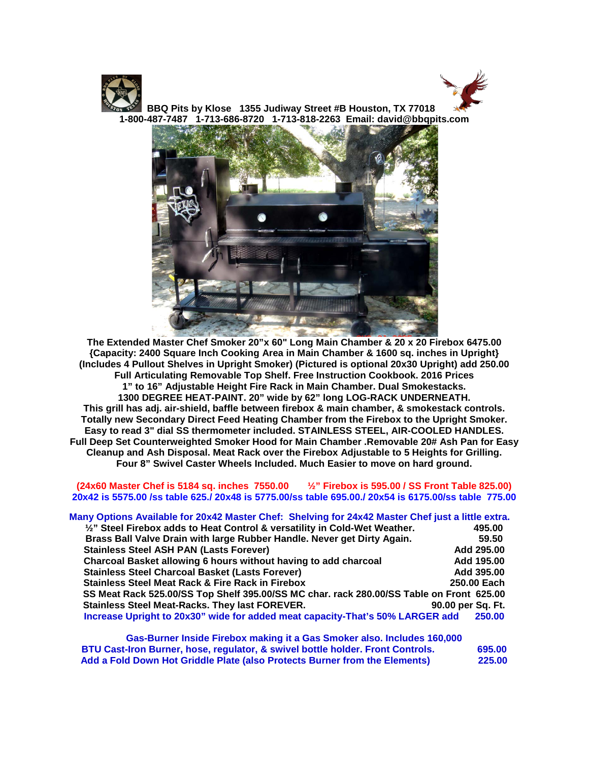



 **BBQ Pits by Klose 1355 Judiway Street #B Houston, TX 77018 1-800-487-7487 1-713-686-8720 1-713-818-2263 Email: david@bbqpits.com**



**The Extended Master Chef Smoker 20"x 60" Long Main Chamber & 20 x 20 Firebox 6475.00 {Capacity: 2400 Square Inch Cooking Area in Main Chamber & 1600 sq. inches in Upright} (Includes 4 Pullout Shelves in Upright Smoker) (Pictured is optional 20x30 Upright) add 250.00 Full Articulating Removable Top Shelf. Free Instruction Cookbook. 2016 Prices 1" to 16" Adjustable Height Fire Rack in Main Chamber. Dual Smokestacks. 1300 DEGREE HEAT-PAINT. 20" wide by 62" long LOG-RACK UNDERNEATH. This grill has adj. air-shield, baffle between firebox & main chamber, & smokestack controls. Totally new Secondary Direct Feed Heating Chamber from the Firebox to the Upright Smoker. Easy to read 3" dial SS thermometer included. STAINLESS STEEL, AIR-COOLED HANDLES. Full Deep Set Counterweighted Smoker Hood for Main Chamber .Removable 20# Ash Pan for Easy Cleanup and Ash Disposal. Meat Rack over the Firebox Adjustable to 5 Heights for Grilling. Four 8" Swivel Caster Wheels Included. Much Easier to move on hard ground.**

## **(24x60 Master Chef is 5184 sq. inches 7550.00 ½" Firebox is 595.00 / SS Front Table 825.00) 20x42 is 5575.00 /ss table 625./ 20x48 is 5775.00/ss table 695.00./ 20x54 is 6175.00/ss table 775.00**

## **Many Options Available for 20x42 Master Chef: Shelving for 24x42 Master Chef just a little extra.**

| $\frac{1}{2}$ " Steel Firebox adds to Heat Control & versatility in Cold-Wet Weather.    |                   | 495.00      |
|------------------------------------------------------------------------------------------|-------------------|-------------|
| Brass Ball Valve Drain with large Rubber Handle. Never get Dirty Again.                  |                   | 59.50       |
| <b>Stainless Steel ASH PAN (Lasts Forever)</b>                                           |                   | Add 295.00  |
| Charcoal Basket allowing 6 hours without having to add charcoal                          |                   | Add 195.00  |
| <b>Stainless Steel Charcoal Basket (Lasts Forever)</b>                                   |                   | Add 395.00  |
| <b>Stainless Steel Meat Rack &amp; Fire Rack in Firebox</b>                              |                   | 250.00 Each |
| SS Meat Rack 525.00/SS Top Shelf 395.00/SS MC char. rack 280.00/SS Table on Front 625.00 |                   |             |
| <b>Stainless Steel Meat-Racks. They last FOREVER.</b>                                    | 90.00 per Sa. Ft. |             |
| Increase Upright to 20x30" wide for added meat capacity-That's 50% LARGER add            |                   | 250.00      |
|                                                                                          |                   |             |

**Gas-Burner Inside Firebox making it a Gas Smoker also. Includes 160,000 BTU Cast-Iron Burner, hose, regulator, & swivel bottle holder. Front Controls. 695.00** Add a Fold Down Hot Griddle Plate (also Protects Burner from the Elements)